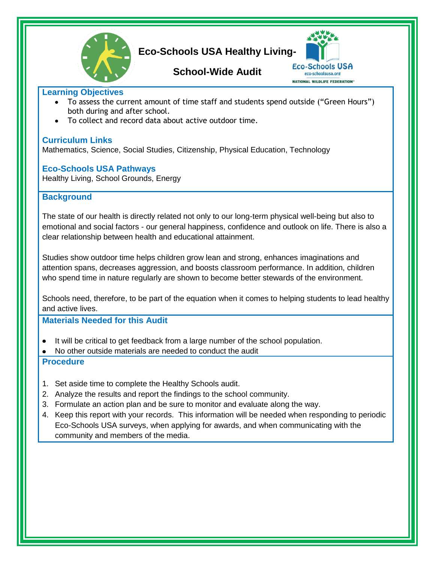

# **Eco-Schools USA Healthy Living-**

## **School-Wide Audit**



#### **Learning Objectives**

- To assess the current amount of time staff and students spend outside ("Green Hours") both during and after school.
- To collect and record data about active outdoor time.

### **Curriculum Links**

Mathematics, Science, Social Studies, Citizenship, Physical Education, Technology

### **Eco-Schools USA Pathways**

Healthy Living, School Grounds, Energy

## **Background**

The state of our health is directly related not only to our long-term physical well-being but also to emotional and social factors - our general happiness, confidence and outlook on life. There is also a clear relationship between health and educational attainment.

Studies show outdoor time helps children grow lean and strong, enhances imaginations and attention spans, decreases aggression, and boosts classroom performance. In addition, children who spend time in nature regularly are shown to become better stewards of the environment.

Schools need, therefore, to be part of the equation when it comes to helping students to lead healthy and active lives.

## **Materials Needed for this Audit**

- It will be critical to get feedback from a large number of the school population.
- No other outside materials are needed to conduct the audit

### **Procedure**

- 1. Set aside time to complete the Healthy Schools audit.
- 2. Analyze the results and report the findings to the school community.
- 3. Formulate an action plan and be sure to monitor and evaluate along the way.
- 4. Keep this report with your records. This information will be needed when responding to periodic Eco-Schools USA surveys, when applying for awards, and when communicating with the community and members of the media.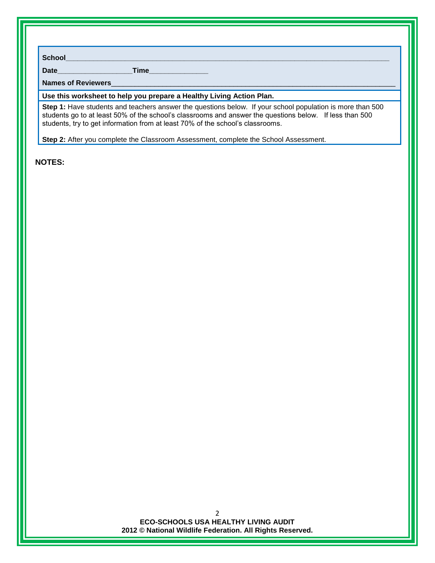**School\_\_\_\_\_\_\_\_\_\_\_\_\_\_\_\_\_\_\_\_\_\_\_\_\_\_\_\_\_\_\_\_\_\_\_\_\_\_\_\_\_\_\_\_\_\_\_\_\_\_\_\_\_\_\_\_\_\_\_\_\_\_\_\_\_\_\_\_\_\_\_\_\_\_\_\_\_\_\_\_\_\_**

**Date\_\_\_\_\_\_\_\_\_\_\_\_\_\_\_\_\_\_\_Time\_\_\_\_\_\_\_\_\_\_\_\_\_\_\_**

Names of Reviewers

**Use this worksheet to help you prepare a Healthy Living Action Plan.**

**Step 1:** Have students and teachers answer the questions below. If your school population is more than 500 students go to at least 50% of the school's classrooms and answer the questions below. If less than 500 students, try to get information from at least 70% of the school's classrooms.

**Step 2:** After you complete the Classroom Assessment, complete the School Assessment.

#### **NOTES:**

**ECO-SCHOOLS USA HEALTHY LIVING AUDIT 2012 © National Wildlife Federation. All Rights Reserved.**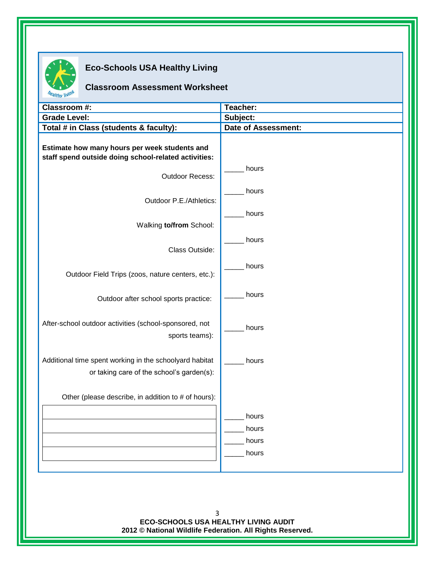

## **Eco-Schools USA Healthy Living**

## **Classroom Assessment Worksheet**

| Classroom #:                                                                                          | Teacher:                   |
|-------------------------------------------------------------------------------------------------------|----------------------------|
| <b>Grade Level:</b>                                                                                   | Subject:                   |
| Total # in Class (students & faculty):                                                                | <b>Date of Assessment:</b> |
| Estimate how many hours per week students and<br>staff spend outside doing school-related activities: |                            |
| Outdoor Recess:                                                                                       | hours                      |
| Outdoor P.E./Athletics:                                                                               | hours                      |
| Walking to/from School:                                                                               | hours                      |
| Class Outside:                                                                                        | hours                      |
| Outdoor Field Trips (zoos, nature centers, etc.):                                                     | hours                      |
| Outdoor after school sports practice:                                                                 | hours                      |
| After-school outdoor activities (school-sponsored, not<br>sports teams):                              | hours                      |
| Additional time spent working in the schoolyard habitat<br>or taking care of the school's garden(s):  | hours                      |
| Other (please describe, in addition to # of hours):                                                   |                            |
|                                                                                                       | hours                      |
|                                                                                                       | hours<br>hours             |
|                                                                                                       | hours                      |
|                                                                                                       |                            |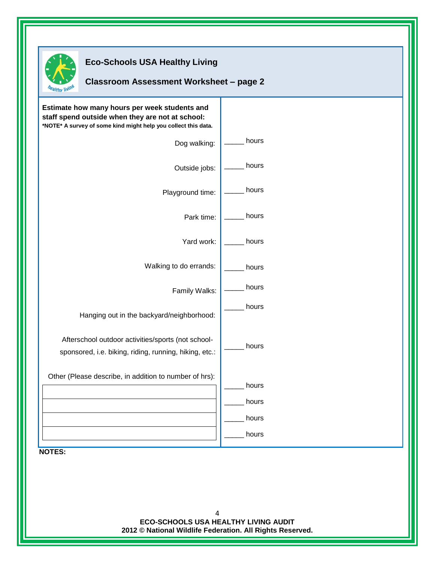

## **Eco-Schools USA Healthy Living**

#### **Classroom Assessment Worksheet – page 2**

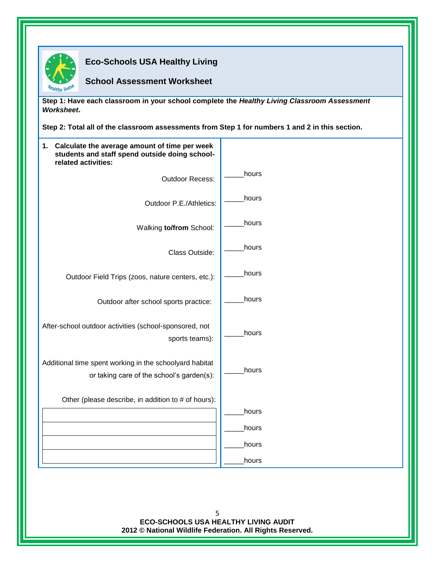

**Eco-Schools USA Healthy Living** 

### **School Assessment Worksheet**

**Step 1: Have each classroom in your school complete the** *Healthy Living Classroom Assessment Worksheet***.** 

**Step 2: Total all of the classroom assessments from Step 1 for numbers 1 and 2 in this section.**

| 1. Calculate the average amount of time per week<br>students and staff spend outside doing school-<br>related activities: |                |
|---------------------------------------------------------------------------------------------------------------------------|----------------|
| <b>Outdoor Recess:</b>                                                                                                    | hours          |
| Outdoor P.E./Athletics:                                                                                                   | hours          |
| Walking to/from School:                                                                                                   | hours          |
| Class Outside:                                                                                                            | hours          |
| Outdoor Field Trips (zoos, nature centers, etc.):                                                                         | hours          |
| Outdoor after school sports practice:                                                                                     | hours          |
| After-school outdoor activities (school-sponsored, not<br>sports teams):                                                  | hours          |
| Additional time spent working in the schoolyard habitat<br>or taking care of the school's garden(s):                      | hours          |
| Other (please describe, in addition to # of hours):                                                                       |                |
|                                                                                                                           | hours<br>hours |
|                                                                                                                           | hours          |
|                                                                                                                           | hours          |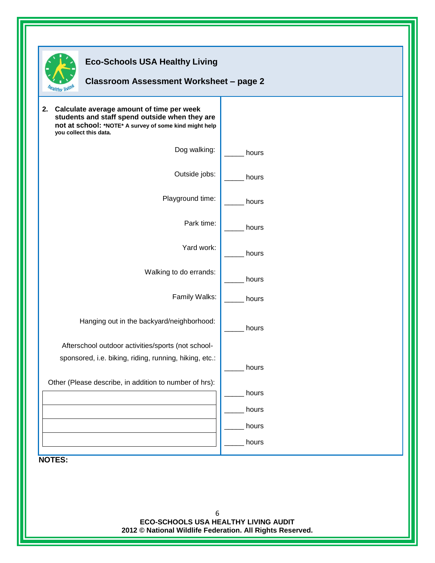

## **Eco-Schools USA Healthy Living**

## **Classroom Assessment Worksheet – page 2**

| not at school: *NOTE* A survey of some kind might help<br>you collect this data. |       |
|----------------------------------------------------------------------------------|-------|
| Dog walking:                                                                     | hours |
| Outside jobs:                                                                    | hours |
| Playground time:                                                                 | hours |
| Park time:                                                                       | hours |
| Yard work:                                                                       | hours |
| Walking to do errands:                                                           | hours |
| Family Walks:                                                                    | hours |
| Hanging out in the backyard/neighborhood:                                        | hours |
| Afterschool outdoor activities/sports (not school-                               |       |
| sponsored, i.e. biking, riding, running, hiking, etc.:                           | hours |
| Other (Please describe, in addition to number of hrs):                           |       |
|                                                                                  | hours |
|                                                                                  | hours |
|                                                                                  | hours |
|                                                                                  | hours |
| <b>NOTES:</b>                                                                    |       |

6 **ECO-SCHOOLS USA HEALTHY LIVING AUDIT 2012 © National Wildlife Federation. All Rights Reserved.**